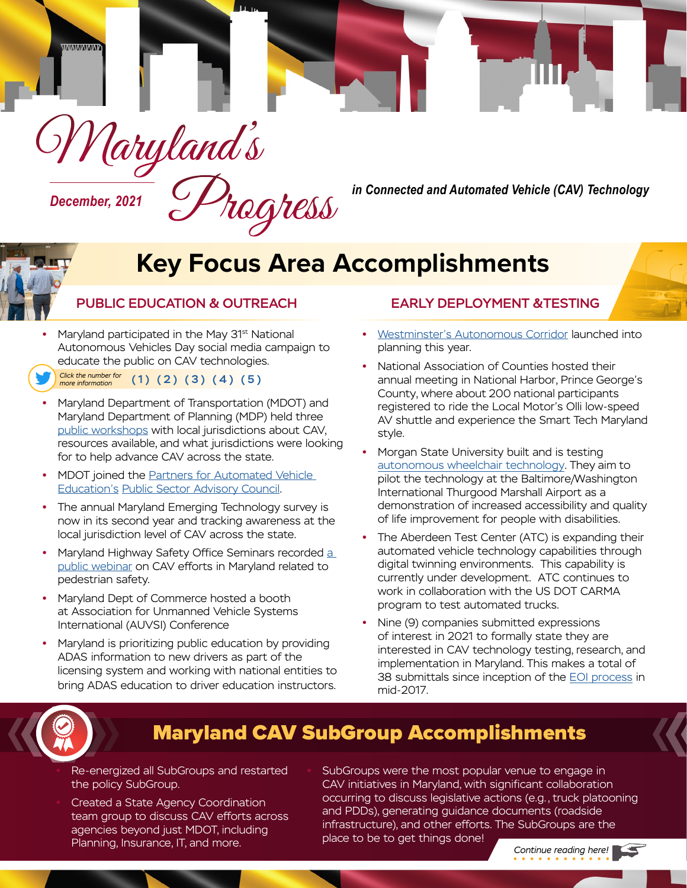

# **Key Focus Area Accomplishments**

### PUBLIC EDUCATION & OUTREACH

- **Maryland participated in the May 31<sup>st</sup> National** Autonomous Vehicles Day social media campaign to educate the public on CAV technologies.
- $(1)$   $(2)$  $(2)$  $(2)$   $(3)$   $(4)$   $(5)$ *Click the number for more information*
- **•** Maryland Department of Transportation (MDOT) and Maryland Department of Planning (MDP) held three [public workshops](https://mva.maryland.gov/safety/Documents/2021/Maryland%20Local%20Jurisdiction%20Outreach%20for%20CAV_June%202021.pdf) with local jurisdictions about CAV, resources available, and what jurisdictions were looking for to help advance CAV across the state.
- **•** MDOT joined the [Partners for Automated Vehicle](https://pavecampaign.org/advisory-councils/) [Education](https://pavecampaign.org/advisory-councils/)'s [Public Sector Advisory Council](https://pavecampaign.org/advisory-councils/).
- **•** The annual Maryland Emerging Technology survey is now in its second year and tracking awareness at the local jurisdiction level of CAV across the state.
- **•** Maryland Highway Safety Office Seminars recorded [a](https://register.gotowebinar.com/recording/945159300914886150) [public webinar](https://register.gotowebinar.com/recording/945159300914886150) on CAV efforts in Maryland related to pedestrian safety.
- **•** Maryland Dept of Commerce hosted a booth at Association for Unmanned Vehicle Systems International (AUVSI) Conference
- **•** Maryland is prioritizing public education by providing ADAS information to new drivers as part of the licensing system and working with national entities to bring ADAS education to driver education instructors.

### EARLY DEPLOYMENT &TESTING

- **•** [Westminster's Autonomous Corridor](https://magicinc.org/projects/autonomous-corridor) launched into planning this year.
- **•** National Association of Counties hosted their annual meeting in National Harbor, Prince George's County, where about 200 national participants registered to ride the Local Motor's Olli low-speed AV shuttle and experience the Smart Tech Maryland style.
- **•** Morgan State University built and is testing [autonomous wheelchair technology](https://photos.app.goo.gl/za7fVUmjszFvHAQn8). They aim to pilot the technology at the Baltimore/Washington International Thurgood Marshall Airport as a demonstration of increased accessibility and quality of life improvement for people with disabilities.
- **•** The Aberdeen Test Center (ATC) is expanding their automated vehicle technology capabilities through digital twinning environments. This capability is currently under development. ATC continues to work in collaboration with the US DOT CARMA program to test automated trucks.
- **•** Nine (9) companies submitted expressions of interest in 2021 to formally state they are interested in CAV technology testing, research, and implementation in Maryland. This makes a total of 38 submittals since inception of the [EOI process](https://mva.maryland.gov/safety/Pages/EOI-test-highly-automated-vehicles-in-Maryland.aspx) in mid-2017.



# Maryland CAV SubGroup Accomplishments

- **•** Re-energized all SubGroups and restarted the policy SubGroup.
- **•** Created a State Agency Coordination team group to discuss CAV efforts across agencies beyond just MDOT, including Planning, Insurance, IT, and more. *Place to be to get trimings dome!* Continue reading here!

**•** SubGroups were the most popular venue to engage in CAV initiatives in Maryland, with significant collaboration occurring to discuss legislative actions (e.g., truck platooning and PDDs), generating guidance documents (roadside infrastructure), and other efforts. The SubGroups are the place to be to get things done!